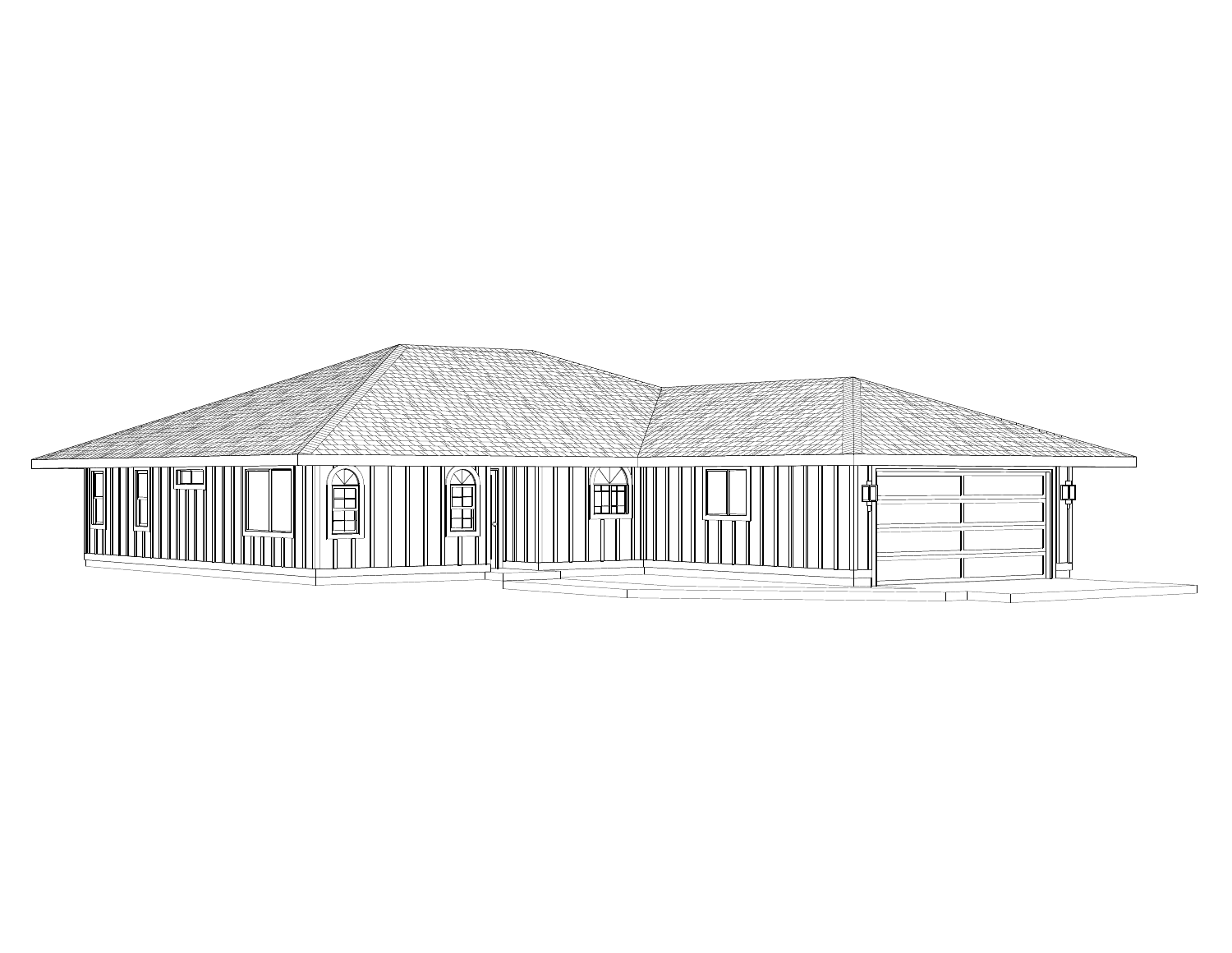